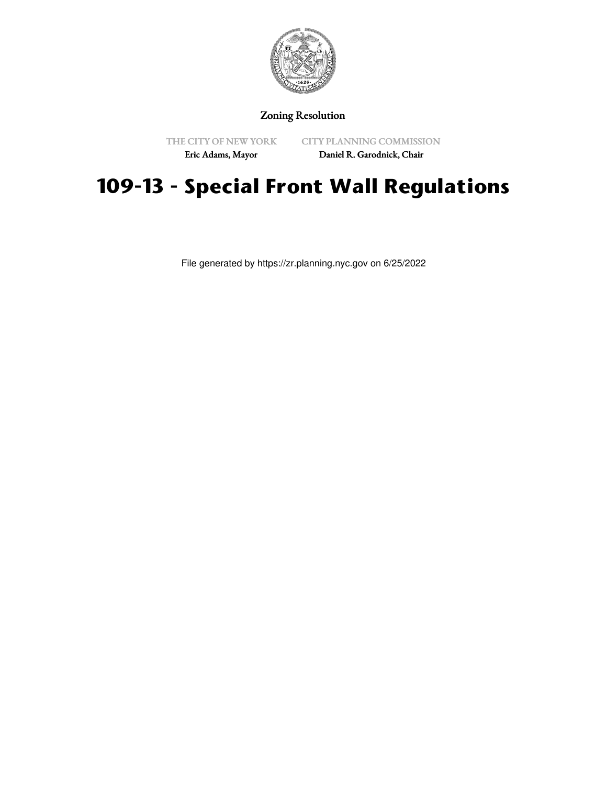

Zoning Resolution

THE CITY OF NEW YORK

CITY PLANNING COMMISSION

Eric Adams, Mayor

Daniel R. Garodnick, Chair

## **109-13 - Special Front Wall Regulations**

File generated by https://zr.planning.nyc.gov on 6/25/2022